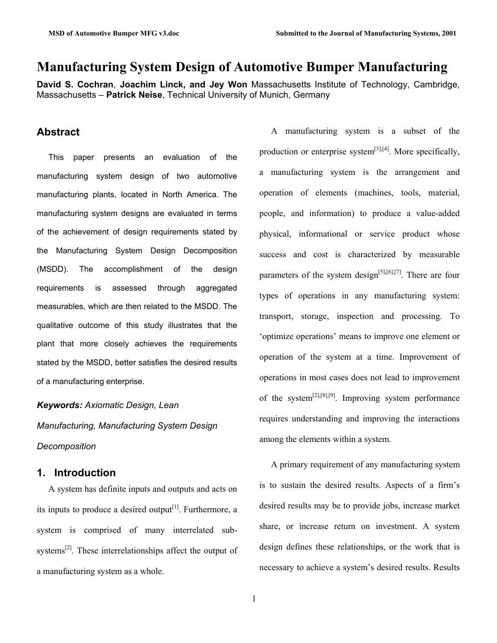## **Manufacturing System Design of Automotive Bumper Manufacturing**

**David S. Cochran**, **Joachim Linck, and Jey Won** Massachusetts Institute of Technology, Cambridge, Massachusetts – **Patrick Neise**, Technical University of Munich, Germany

## **Abstract**

This paper presents an evaluation of the manufacturing system design of two automotive manufacturing plants, located in North America. The manufacturing system designs are evaluated in terms of the achievement of design requirements stated by the Manufacturing System Design Decomposition (MSDD). The accomplishment of the design requirements is assessed through aggregated measurables, which are then related to the MSDD. The qualitative outcome of this study illustrates that the plant that more closely achieves the requirements stated by the MSDD, better satisfies the desired results of a manufacturing enterprise.

*Keywords: Axiomatic Design, Lean Manufacturing, Manufacturing System Design Decomposition*

### **1. Introduction**

A system has definite inputs and outputs and acts on its inputs to produce a desired output<sup>[1]</sup>. Furthermore, a system is comprised of many interrelated subsystems<sup>[2]</sup>. These interrelationships affect the output of a manufacturing system as a whole.

A manufacturing system is a subset of the production or enterprise system $^{[3],[4]}$ . More specifically, a manufacturing system is the arrangement and operation of elements (machines, tools, material, people, and information) to produce a value-added physical, informational or service product whose success and cost is characterized by measurable parameters of the system design<sup>[5],[6],[7]</sup>. There are four types of operations in any manufacturing system: transport, storage, inspection and processing. To 'optimize operations' means to improve one element or operation of the system at a time. Improvement of operations in most cases does not lead to improvement of the system<sup>[2],[8],[9]</sup>. Improving system performance requires understanding and improving the interactions among the elements within a system.

A primary requirement of any manufacturing system is to sustain the desired results. Aspects of a firm's desired results may be to provide jobs, increase market share, or increase return on investment. A system design defines these relationships, or the work that is necessary to achieve a system's desired results. Results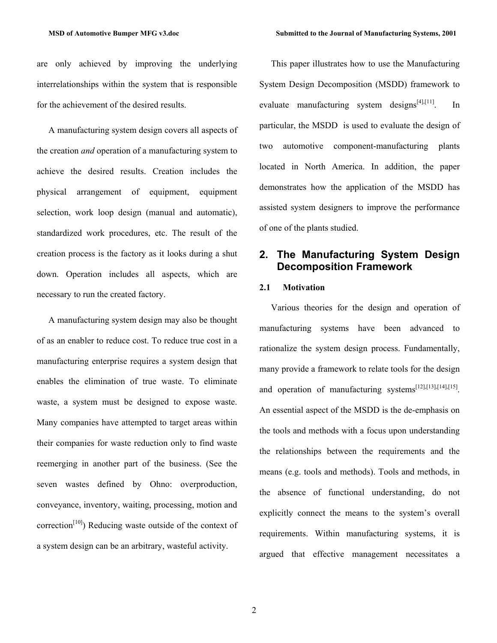are only achieved by improving the underlying interrelationships within the system that is responsible for the achievement of the desired results.

A manufacturing system design covers all aspects of the creation *and* operation of a manufacturing system to achieve the desired results. Creation includes the physical arrangement of equipment, equipment selection, work loop design (manual and automatic), standardized work procedures, etc. The result of the creation process is the factory as it looks during a shut down. Operation includes all aspects, which are necessary to run the created factory.

A manufacturing system design may also be thought of as an enabler to reduce cost. To reduce true cost in a manufacturing enterprise requires a system design that enables the elimination of true waste. To eliminate waste, a system must be designed to expose waste. Many companies have attempted to target areas within their companies for waste reduction only to find waste reemerging in another part of the business. (See the seven wastes defined by Ohno: overproduction, conveyance, inventory, waiting, processing, motion and correction<sup>[10]</sup>) Reducing waste outside of the context of a system design can be an arbitrary, wasteful activity.

This paper illustrates how to use the Manufacturing System Design Decomposition (MSDD) framework to evaluate manufacturing system designs $[4]$ , $[11]$ . In particular, the MSDD is used to evaluate the design of two automotive component-manufacturing plants located in North America. In addition, the paper demonstrates how the application of the MSDD has assisted system designers to improve the performance of one of the plants studied.

## **2. The Manufacturing System Design Decomposition Framework**

#### **2.1 Motivation**

Various theories for the design and operation of manufacturing systems have been advanced to rationalize the system design process. Fundamentally, many provide a framework to relate tools for the design and operation of manufacturing systems<sup>[12],[13],[14],[15]</sup>. An essential aspect of the MSDD is the de-emphasis on the tools and methods with a focus upon understanding the relationships between the requirements and the means (e.g. tools and methods). Tools and methods, in the absence of functional understanding, do not explicitly connect the means to the system's overall requirements. Within manufacturing systems, it is argued that effective management necessitates a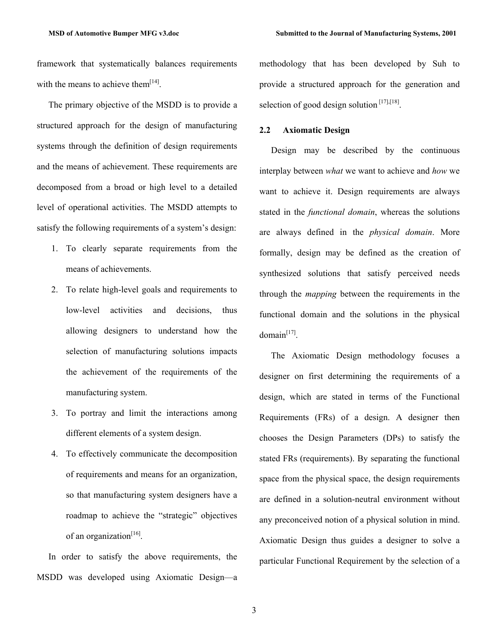framework that systematically balances requirements with the means to achieve them $[14]$ .

The primary objective of the MSDD is to provide a structured approach for the design of manufacturing systems through the definition of design requirements and the means of achievement. These requirements are decomposed from a broad or high level to a detailed level of operational activities. The MSDD attempts to satisfy the following requirements of a system's design:

- 1. To clearly separate requirements from the means of achievements.
- 2. To relate high-level goals and requirements to low-level activities and decisions, thus allowing designers to understand how the selection of manufacturing solutions impacts the achievement of the requirements of the manufacturing system.
- 3. To portray and limit the interactions among different elements of a system design.
- 4. To effectively communicate the decomposition of requirements and means for an organization, so that manufacturing system designers have a roadmap to achieve the "strategic" objectives of an organization $^{[16]}$ .

In order to satisfy the above requirements, the MSDD was developed using Axiomatic Design—a methodology that has been developed by Suh to provide a structured approach for the generation and selection of good design solution  $[17]$ , $[18]$ .

#### **2.2 Axiomatic Design**

Design may be described by the continuous interplay between *what* we want to achieve and *how* we want to achieve it. Design requirements are always stated in the *functional domain*, whereas the solutions are always defined in the *physical domain*. More formally, design may be defined as the creation of synthesized solutions that satisfy perceived needs through the *mapping* between the requirements in the functional domain and the solutions in the physical  $domain<sup>[17]</sup>$ .

The Axiomatic Design methodology focuses a designer on first determining the requirements of a design, which are stated in terms of the Functional Requirements (FRs) of a design. A designer then chooses the Design Parameters (DPs) to satisfy the stated FRs (requirements). By separating the functional space from the physical space, the design requirements are defined in a solution-neutral environment without any preconceived notion of a physical solution in mind. Axiomatic Design thus guides a designer to solve a particular Functional Requirement by the selection of a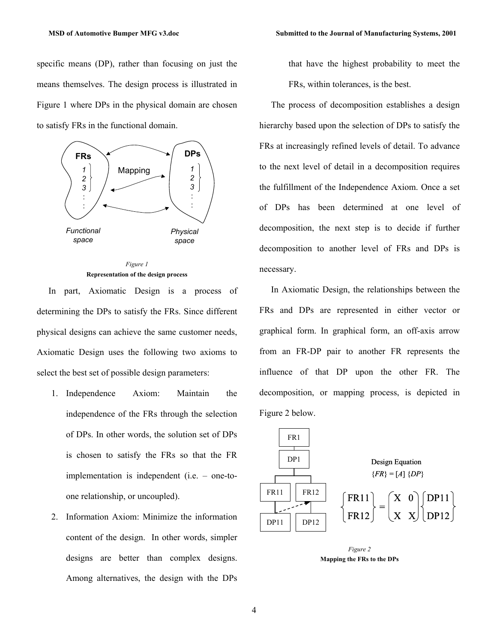specific means (DP), rather than focusing on just the means themselves. The design process is illustrated in Figure 1 where DPs in the physical domain are chosen to satisfy FRs in the functional domain.



*Figure 1*  **Representation of the design process** 

In part, Axiomatic Design is a process of determining the DPs to satisfy the FRs. Since different physical designs can achieve the same customer needs, Axiomatic Design uses the following two axioms to select the best set of possible design parameters:

- 1. Independence Axiom: Maintain the independence of the FRs through the selection of DPs. In other words, the solution set of DPs is chosen to satisfy the FRs so that the FR implementation is independent (i.e. – one-toone relationship, or uncoupled).
- 2. Information Axiom: Minimize the information content of the design. In other words, simpler designs are better than complex designs. Among alternatives, the design with the DPs

that have the highest probability to meet the FRs, within tolerances, is the best.

The process of decomposition establishes a design hierarchy based upon the selection of DPs to satisfy the FRs at increasingly refined levels of detail. To advance to the next level of detail in a decomposition requires the fulfillment of the Independence Axiom. Once a set of DPs has been determined at one level of decomposition, the next step is to decide if further decomposition to another level of FRs and DPs is necessary.

In Axiomatic Design, the relationships between the FRs and DPs are represented in either vector or graphical form. In graphical form, an off-axis arrow from an FR-DP pair to another FR represents the influence of that DP upon the other FR. The decomposition, or mapping process, is depicted in Figure 2 below.



*Figure 2*  **Mapping the FRs to the DPs**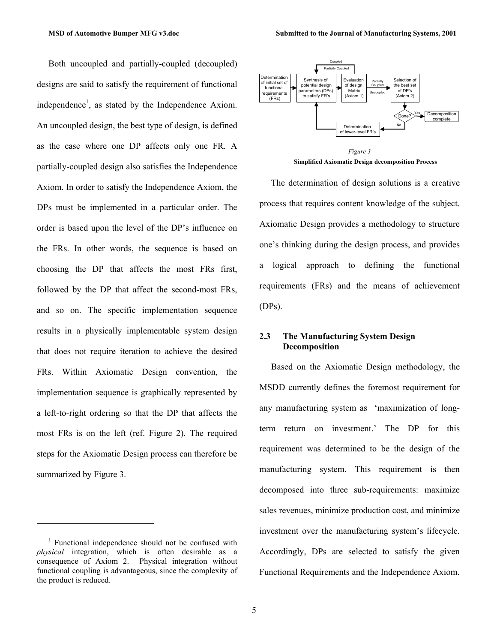Both uncoupled and partially-coupled (decoupled) designs are said to satisfy the requirement of functional independence<sup>1</sup>, as stated by the Independence Axiom. An uncoupled design, the best type of design, is defined as the case where one DP affects only one FR. A partially-coupled design also satisfies the Independence Axiom. In order to satisfy the Independence Axiom, the DPs must be implemented in a particular order. The order is based upon the level of the DP's influence on the FRs. In other words, the sequence is based on choosing the DP that affects the most FRs first, followed by the DP that affect the second-most FRs, and so on. The specific implementation sequence results in a physically implementable system design that does not require iteration to achieve the desired FRs. Within Axiomatic Design convention, the implementation sequence is graphically represented by a left-to-right ordering so that the DP that affects the most FRs is on the left (ref. Figure 2). The required steps for the Axiomatic Design process can therefore be summarized by Figure 3.

1



**Simplified Axiomatic Design decomposition Process**

The determination of design solutions is a creative process that requires content knowledge of the subject. Axiomatic Design provides a methodology to structure one's thinking during the design process, and provides a logical approach to defining the functional requirements (FRs) and the means of achievement (DPs).

#### **2.3 The Manufacturing System Design Decomposition**

Based on the Axiomatic Design methodology, the MSDD currently defines the foremost requirement for any manufacturing system as 'maximization of longterm return on investment.' The DP for this requirement was determined to be the design of the manufacturing system. This requirement is then decomposed into three sub-requirements: maximize sales revenues, minimize production cost, and minimize investment over the manufacturing system's lifecycle. Accordingly, DPs are selected to satisfy the given Functional Requirements and the Independence Axiom.

<sup>&</sup>lt;sup>1</sup> Functional independence should not be confused with *physical* integration, which is often desirable as a consequence of Axiom 2. Physical integration without functional coupling is advantageous, since the complexity of the product is reduced.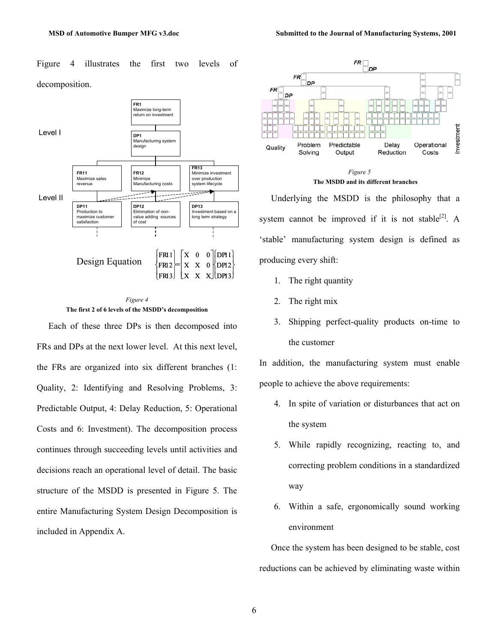Figure 4 illustrates the first two levels of decomposition.





Each of these three DPs is then decomposed into FRs and DPs at the next lower level. At this next level, the FRs are organized into six different branches (1: Quality, 2: Identifying and Resolving Problems, 3: Predictable Output, 4: Delay Reduction, 5: Operational Costs and 6: Investment). The decomposition process continues through succeeding levels until activities and decisions reach an operational level of detail. The basic structure of the MSDD is presented in Figure 5. The entire Manufacturing System Design Decomposition is included in Appendix A.





Underlying the MSDD is the philosophy that a system cannot be improved if it is not stable<sup>[2]</sup>. A 'stable' manufacturing system design is defined as producing every shift:

- 1. The right quantity
- 2. The right mix
- 3. Shipping perfect-quality products on-time to the customer

In addition, the manufacturing system must enable people to achieve the above requirements:

- 4. In spite of variation or disturbances that act on the system
- 5. While rapidly recognizing, reacting to, and correcting problem conditions in a standardized way
- 6. Within a safe, ergonomically sound working environment

Once the system has been designed to be stable, cost reductions can be achieved by eliminating waste within

6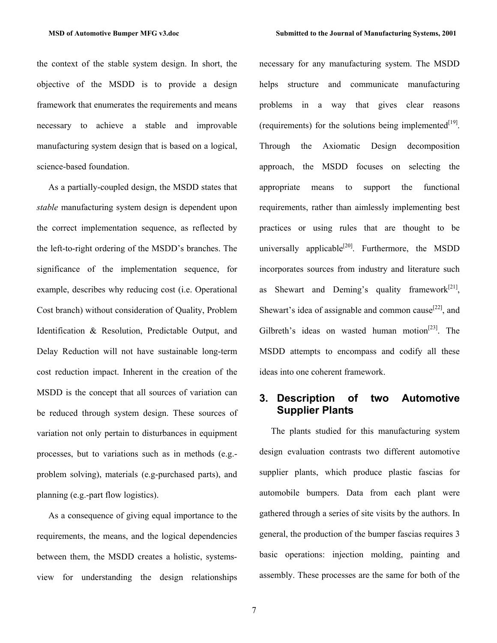the context of the stable system design. In short, the objective of the MSDD is to provide a design framework that enumerates the requirements and means necessary to achieve a stable and improvable manufacturing system design that is based on a logical, science-based foundation.

As a partially-coupled design, the MSDD states that *stable* manufacturing system design is dependent upon the correct implementation sequence, as reflected by the left-to-right ordering of the MSDD's branches. The significance of the implementation sequence, for example, describes why reducing cost (i.e. Operational Cost branch) without consideration of Quality, Problem Identification & Resolution, Predictable Output, and Delay Reduction will not have sustainable long-term cost reduction impact. Inherent in the creation of the MSDD is the concept that all sources of variation can be reduced through system design. These sources of variation not only pertain to disturbances in equipment processes, but to variations such as in methods (e.g. problem solving), materials (e.g-purchased parts), and planning (e.g.-part flow logistics).

As a consequence of giving equal importance to the requirements, the means, and the logical dependencies between them, the MSDD creates a holistic, systemsview for understanding the design relationships necessary for any manufacturing system. The MSDD helps structure and communicate manufacturing problems in a way that gives clear reasons (requirements) for the solutions being implemented $[19]$ . Through the Axiomatic Design decomposition approach, the MSDD focuses on selecting the appropriate means to support the functional requirements, rather than aimlessly implementing best practices or using rules that are thought to be universally applicable<sup>[20]</sup>. Furthermore, the MSDD incorporates sources from industry and literature such as Shewart and Deming's quality framework $[21]$ , Shewart's idea of assignable and common cause<sup>[22]</sup>, and Gilbreth's ideas on wasted human motion<sup>[23]</sup>. The MSDD attempts to encompass and codify all these ideas into one coherent framework.

## **3. Description of two Automotive Supplier Plants**

The plants studied for this manufacturing system design evaluation contrasts two different automotive supplier plants, which produce plastic fascias for automobile bumpers. Data from each plant were gathered through a series of site visits by the authors. In general, the production of the bumper fascias requires 3 basic operations: injection molding, painting and assembly. These processes are the same for both of the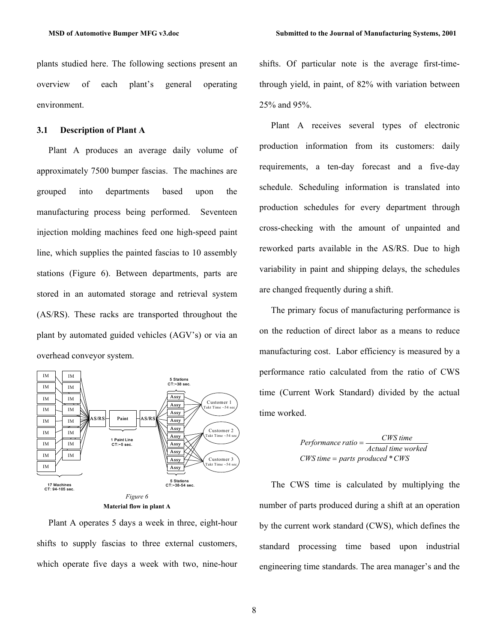plants studied here. The following sections present an overview of each plant's general operating environment.

#### **3.1 Description of Plant A**

Plant A produces an average daily volume of approximately 7500 bumper fascias. The machines are grouped into departments based upon the manufacturing process being performed. Seventeen injection molding machines feed one high-speed paint line, which supplies the painted fascias to 10 assembly stations (Figure 6). Between departments, parts are stored in an automated storage and retrieval system (AS/RS). These racks are transported throughout the plant by automated guided vehicles (AGV's) or via an overhead conveyor system.



**Material flow in plant A** 

Plant A operates 5 days a week in three, eight-hour shifts to supply fascias to three external customers, which operate five days a week with two, nine-hour shifts. Of particular note is the average first-timethrough yield, in paint, of 82% with variation between 25% and 95%.

Plant A receives several types of electronic production information from its customers: daily requirements, a ten-day forecast and a five-day schedule. Scheduling information is translated into production schedules for every department through cross-checking with the amount of unpainted and reworked parts available in the AS/RS. Due to high variability in paint and shipping delays, the schedules are changed frequently during a shift.

The primary focus of manufacturing performance is on the reduction of direct labor as a means to reduce manufacturing cost. Labor efficiency is measured by a performance ratio calculated from the ratio of CWS time (Current Work Standard) divided by the actual time worked.

> *CWS time parts produced \* CWS* = *Actual time worked CWS time Performance ratio* =

The CWS time is calculated by multiplying the number of parts produced during a shift at an operation by the current work standard (CWS), which defines the standard processing time based upon industrial engineering time standards. The area manager's and the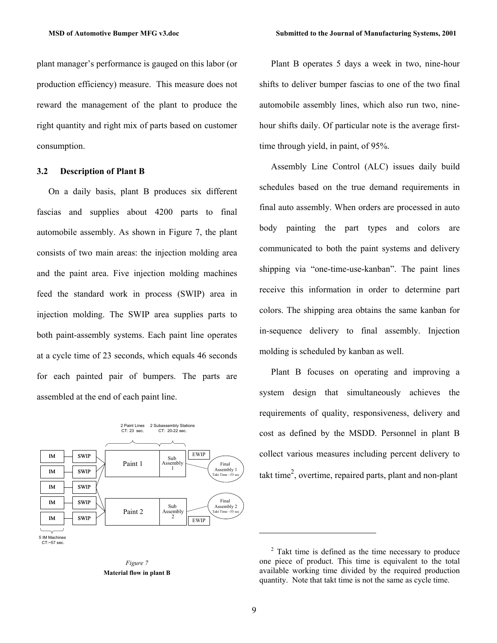plant manager's performance is gauged on this labor (or production efficiency) measure. This measure does not reward the management of the plant to produce the right quantity and right mix of parts based on customer consumption.

#### **3.2 Description of Plant B**

On a daily basis, plant B produces six different fascias and supplies about 4200 parts to final automobile assembly. As shown in Figure 7, the plant consists of two main areas: the injection molding area and the paint area. Five injection molding machines feed the standard work in process (SWIP) area in injection molding. The SWIP area supplies parts to both paint-assembly systems. Each paint line operates at a cycle time of 23 seconds, which equals 46 seconds for each painted pair of bumpers. The parts are assembled at the end of each paint line.





Plant B operates 5 days a week in two, nine-hour shifts to deliver bumper fascias to one of the two final automobile assembly lines, which also run two, ninehour shifts daily. Of particular note is the average firsttime through yield, in paint, of 95%.

Assembly Line Control (ALC) issues daily build schedules based on the true demand requirements in final auto assembly. When orders are processed in auto body painting the part types and colors are communicated to both the paint systems and delivery shipping via "one-time-use-kanban". The paint lines receive this information in order to determine part colors. The shipping area obtains the same kanban for in-sequence delivery to final assembly. Injection molding is scheduled by kanban as well.

Plant B focuses on operating and improving a system design that simultaneously achieves the requirements of quality, responsiveness, delivery and cost as defined by the MSDD. Personnel in plant B collect various measures including percent delivery to takt time<sup>2</sup>, overtime, repaired parts, plant and non-plant

l

 $2$  Takt time is defined as the time necessary to produce one piece of product. This time is equivalent to the total available working time divided by the required production quantity. Note that takt time is not the same as cycle time.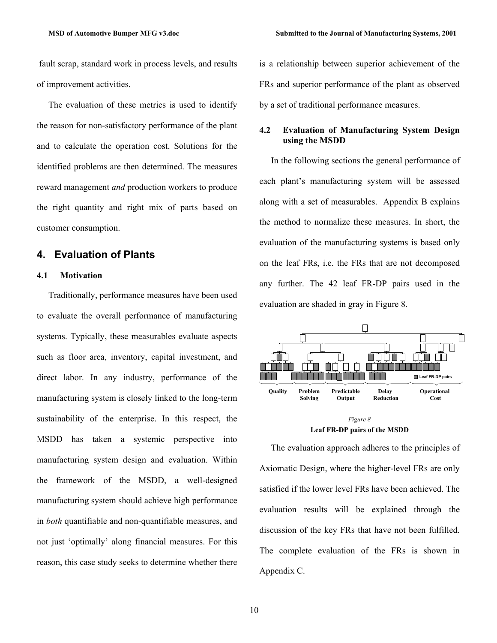fault scrap, standard work in process levels, and results of improvement activities.

The evaluation of these metrics is used to identify the reason for non-satisfactory performance of the plant and to calculate the operation cost. Solutions for the identified problems are then determined. The measures reward management *and* production workers to produce the right quantity and right mix of parts based on customer consumption.

## **4. Evaluation of Plants**

#### **4.1 Motivation**

Traditionally, performance measures have been used to evaluate the overall performance of manufacturing systems. Typically, these measurables evaluate aspects such as floor area, inventory, capital investment, and direct labor. In any industry, performance of the manufacturing system is closely linked to the long-term sustainability of the enterprise. In this respect, the MSDD has taken a systemic perspective into manufacturing system design and evaluation. Within the framework of the MSDD, a well-designed manufacturing system should achieve high performance in *both* quantifiable and non-quantifiable measures, and not just 'optimally' along financial measures. For this reason, this case study seeks to determine whether there is a relationship between superior achievement of the FRs and superior performance of the plant as observed by a set of traditional performance measures.

#### **4.2 Evaluation of Manufacturing System Design using the MSDD**

In the following sections the general performance of each plant's manufacturing system will be assessed along with a set of measurables. Appendix B explains the method to normalize these measures. In short, the evaluation of the manufacturing systems is based only on the leaf FRs, i.e. the FRs that are not decomposed any further. The 42 leaf FR-DP pairs used in the evaluation are shaded in gray in Figure 8.





The evaluation approach adheres to the principles of Axiomatic Design, where the higher-level FRs are only satisfied if the lower level FRs have been achieved. The evaluation results will be explained through the discussion of the key FRs that have not been fulfilled. The complete evaluation of the FRs is shown in Appendix C.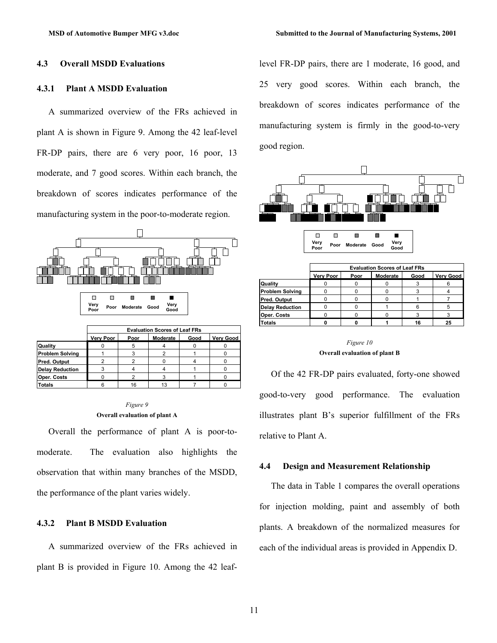#### **4.3 Overall MSDD Evaluations**

#### **4.3.1 Plant A MSDD Evaluation**

A summarized overview of the FRs achieved in plant A is shown in Figure 9. Among the 42 leaf-level FR-DP pairs, there are 6 very poor, 16 poor, 13 moderate, and 7 good scores. Within each branch, the breakdown of scores indicates performance of the manufacturing system in the poor-to-moderate region.



#### *Figure 9* **Overall evaluation of plant A**

Overall the performance of plant A is poor-tomoderate. The evaluation also highlights the observation that within many branches of the MSDD, the performance of the plant varies widely.

#### **4.3.2 Plant B MSDD Evaluation**

A summarized overview of the FRs achieved in plant B is provided in Figure 10. Among the 42 leaflevel FR-DP pairs, there are 1 moderate, 16 good, and 25 very good scores. Within each branch, the breakdown of scores indicates performance of the manufacturing system is firmly in the good-to-very good region.



|                        | <b>Evaluation Scores of Leaf FRs</b> |      |          |      |           |  |
|------------------------|--------------------------------------|------|----------|------|-----------|--|
|                        | Very Poor                            | Poor | Moderate | Good | Very Good |  |
| Quality                |                                      |      |          |      |           |  |
| <b>Problem Solving</b> |                                      |      |          |      |           |  |
| Pred. Output           |                                      |      |          |      |           |  |
| <b>Delay Reduction</b> |                                      |      |          | Ⴌ    |           |  |
| Oper. Costs            |                                      |      |          |      |           |  |
| <b>Totals</b>          |                                      |      |          |      |           |  |

#### *Figure 10* **Overall evaluation of plant B**

Of the 42 FR-DP pairs evaluated, forty-one showed good-to-very good performance. The evaluation illustrates plant B's superior fulfillment of the FRs relative to Plant A.

#### **4.4 Design and Measurement Relationship**

The data in Table 1 compares the overall operations for injection molding, paint and assembly of both plants. A breakdown of the normalized measures for each of the individual areas is provided in Appendix D.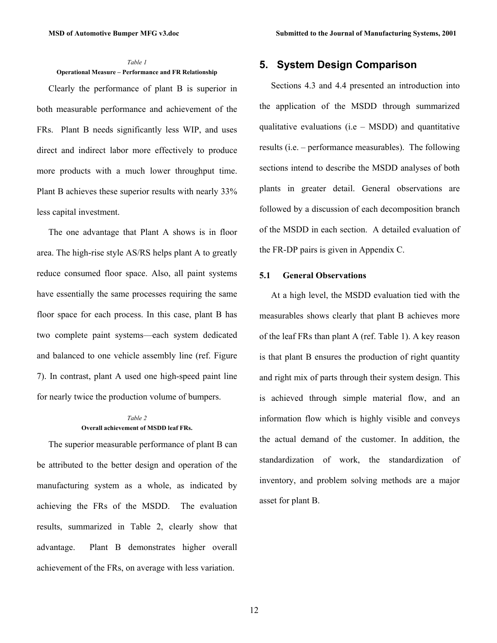#### *Table 1*  **Operational Measure – Performance and FR Relationship**

Clearly the performance of plant B is superior in both measurable performance and achievement of the FRs. Plant B needs significantly less WIP, and uses direct and indirect labor more effectively to produce more products with a much lower throughput time. Plant B achieves these superior results with nearly 33% less capital investment.

The one advantage that Plant A shows is in floor area. The high-rise style AS/RS helps plant A to greatly reduce consumed floor space. Also, all paint systems have essentially the same processes requiring the same floor space for each process. In this case, plant B has two complete paint systems—each system dedicated and balanced to one vehicle assembly line (ref. Figure 7). In contrast, plant A used one high-speed paint line for nearly twice the production volume of bumpers.

#### *Table 2*  **Overall achievement of MSDD leaf FRs.**

The superior measurable performance of plant B can be attributed to the better design and operation of the manufacturing system as a whole, as indicated by achieving the FRs of the MSDD. The evaluation results, summarized in Table 2, clearly show that advantage. Plant B demonstrates higher overall achievement of the FRs, on average with less variation.

## **5. System Design Comparison**

Sections 4.3 and 4.4 presented an introduction into the application of the MSDD through summarized qualitative evaluations  $(i.e - MSDD)$  and quantitative results (i.e. – performance measurables). The following sections intend to describe the MSDD analyses of both plants in greater detail. General observations are followed by a discussion of each decomposition branch of the MSDD in each section. A detailed evaluation of the FR-DP pairs is given in Appendix C.

#### **5.1 General Observations**

At a high level, the MSDD evaluation tied with the measurables shows clearly that plant B achieves more of the leaf FRs than plant A (ref. Table 1). A key reason is that plant B ensures the production of right quantity and right mix of parts through their system design. This is achieved through simple material flow, and an information flow which is highly visible and conveys the actual demand of the customer. In addition, the standardization of work, the standardization of inventory, and problem solving methods are a major asset for plant B.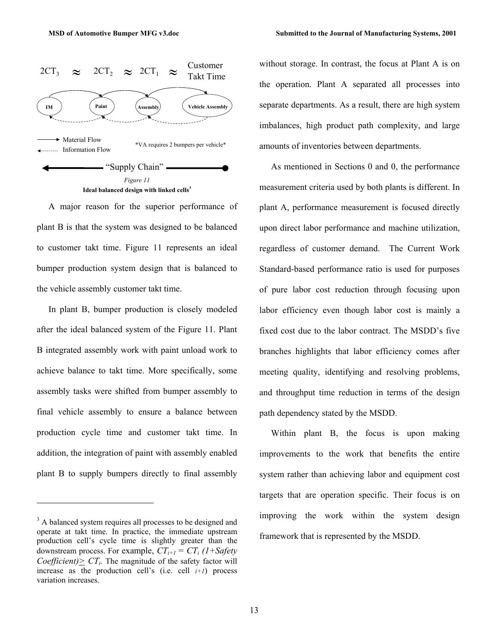



A major reason for the superior performance of plant B is that the system was designed to be balanced to customer takt time. Figure 11 represents an ideal bumper production system design that is balanced to the vehicle assembly customer takt time.

In plant B, bumper production is closely modeled after the ideal balanced system of the Figure 11. Plant B integrated assembly work with paint unload work to achieve balance to takt time. More specifically, some assembly tasks were shifted from bumper assembly to final vehicle assembly to ensure a balance between production cycle time and customer takt time. In addition, the integration of paint with assembly enabled plant B to supply bumpers directly to final assembly

1

without storage. In contrast, the focus at Plant A is on the operation. Plant A separated all processes into separate departments. As a result, there are high system imbalances, high product path complexity, and large amounts of inventories between departments.

As mentioned in Sections 0 and 0, the performance measurement criteria used by both plants is different. In plant A, performance measurement is focused directly upon direct labor performance and machine utilization, regardless of customer demand. The Current Work Standard-based performance ratio is used for purposes of pure labor cost reduction through focusing upon labor efficiency even though labor cost is mainly a fixed cost due to the labor contract. The MSDD's five branches highlights that labor efficiency comes after meeting quality, identifying and resolving problems, and throughput time reduction in terms of the design path dependency stated by the MSDD.

Within plant B, the focus is upon making improvements to the work that benefits the entire system rather than achieving labor and equipment cost targets that are operation specific. Their focus is on improving the work within the system design framework that is represented by the MSDD.

<sup>&</sup>lt;sup>3</sup> A balanced system requires all processes to be designed and operate at takt time. In practice, the immediate upstream production cell's cycle time is slightly greater than the downstream process. For example,  $CT_{i+1} = CT_i$  (1+Safety *Coefficient* $\geq C T_i$ . The magnitude of the safety factor will increase as the production cell's (i.e. cell *i+1*) process variation increases.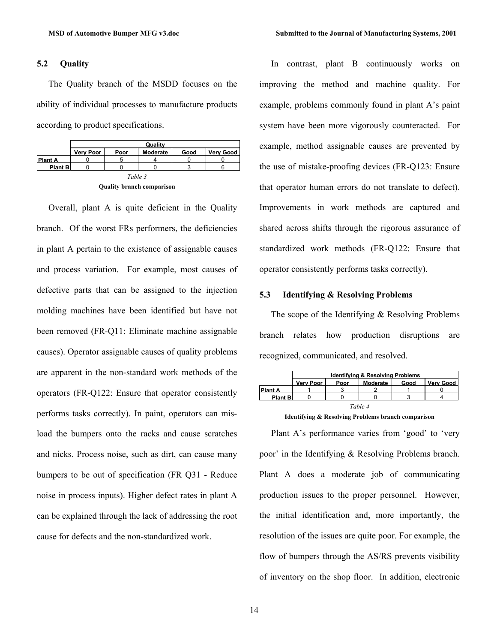#### **5.2 Quality**

The Quality branch of the MSDD focuses on the ability of individual processes to manufacture products according to product specifications.

|                                  | Quality          |      |          |      |                  |  |
|----------------------------------|------------------|------|----------|------|------------------|--|
|                                  | <b>Very Poor</b> | Poor | Moderate | Good | <b>Verv Good</b> |  |
| <b>Plant A</b>                   |                  |      |          |      |                  |  |
| <b>Plant B</b>                   |                  |      |          |      |                  |  |
| Table 3                          |                  |      |          |      |                  |  |
| <b>Ouality branch comparison</b> |                  |      |          |      |                  |  |

Overall, plant A is quite deficient in the Quality branch. Of the worst FRs performers, the deficiencies in plant A pertain to the existence of assignable causes and process variation. For example, most causes of defective parts that can be assigned to the injection molding machines have been identified but have not been removed (FR-Q11: Eliminate machine assignable causes). Operator assignable causes of quality problems are apparent in the non-standard work methods of the operators (FR-Q122: Ensure that operator consistently performs tasks correctly). In paint, operators can misload the bumpers onto the racks and cause scratches and nicks. Process noise, such as dirt, can cause many bumpers to be out of specification (FR Q31 - Reduce noise in process inputs). Higher defect rates in plant A can be explained through the lack of addressing the root cause for defects and the non-standardized work.

In contrast, plant B continuously works on improving the method and machine quality. For example, problems commonly found in plant A's paint system have been more vigorously counteracted. For example, method assignable causes are prevented by the use of mistake-proofing devices (FR-Q123: Ensure that operator human errors do not translate to defect). Improvements in work methods are captured and shared across shifts through the rigorous assurance of standardized work methods (FR-Q122: Ensure that operator consistently performs tasks correctly).

#### **5.3 Identifying & Resolving Problems**

The scope of the Identifying & Resolving Problems branch relates how production disruptions are recognized, communicated, and resolved.

|                | <b>Identifying &amp; Resolving Problems</b> |      |          |      |           |  |
|----------------|---------------------------------------------|------|----------|------|-----------|--|
|                | <b>Verv Poor</b>                            | Poor | Moderate | Good | Verv Good |  |
| <b>Plant A</b> |                                             |      |          |      |           |  |
| <b>Plant B</b> |                                             |      |          |      |           |  |
| Table 4        |                                             |      |          |      |           |  |

**Identifying & Resolving Problems branch comparison** 

Plant A's performance varies from 'good' to 'very poor' in the Identifying & Resolving Problems branch. Plant A does a moderate job of communicating production issues to the proper personnel. However, the initial identification and, more importantly, the resolution of the issues are quite poor. For example, the flow of bumpers through the AS/RS prevents visibility of inventory on the shop floor. In addition, electronic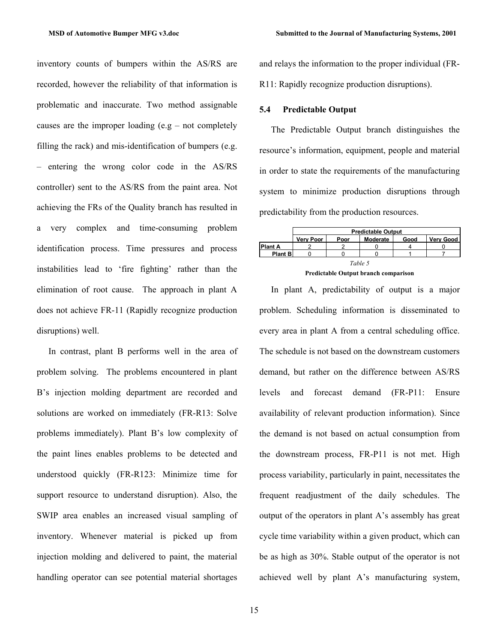inventory counts of bumpers within the AS/RS are recorded, however the reliability of that information is problematic and inaccurate. Two method assignable causes are the improper loading  $(e.g - not completely)$ filling the rack) and mis-identification of bumpers (e.g. – entering the wrong color code in the AS/RS controller) sent to the AS/RS from the paint area. Not achieving the FRs of the Quality branch has resulted in a very complex and time-consuming problem identification process. Time pressures and process instabilities lead to 'fire fighting' rather than the elimination of root cause. The approach in plant A does not achieve FR-11 (Rapidly recognize production disruptions) well.

In contrast, plant B performs well in the area of problem solving. The problems encountered in plant B's injection molding department are recorded and solutions are worked on immediately (FR-R13: Solve problems immediately). Plant B's low complexity of the paint lines enables problems to be detected and understood quickly (FR-R123: Minimize time for support resource to understand disruption). Also, the SWIP area enables an increased visual sampling of inventory. Whenever material is picked up from injection molding and delivered to paint, the material handling operator can see potential material shortages

and relays the information to the proper individual (FR-R11: Rapidly recognize production disruptions).

#### **5.4 Predictable Output**

The Predictable Output branch distinguishes the resource's information, equipment, people and material in order to state the requirements of the manufacturing system to minimize production disruptions through predictability from the production resources.



**Predictable Output branch comparison** 

In plant A, predictability of output is a major problem. Scheduling information is disseminated to every area in plant A from a central scheduling office. The schedule is not based on the downstream customers demand, but rather on the difference between AS/RS levels and forecast demand (FR-P11: Ensure availability of relevant production information). Since the demand is not based on actual consumption from the downstream process, FR-P11 is not met. High process variability, particularly in paint, necessitates the frequent readjustment of the daily schedules. The output of the operators in plant A's assembly has great cycle time variability within a given product, which can be as high as 30%. Stable output of the operator is not achieved well by plant A's manufacturing system,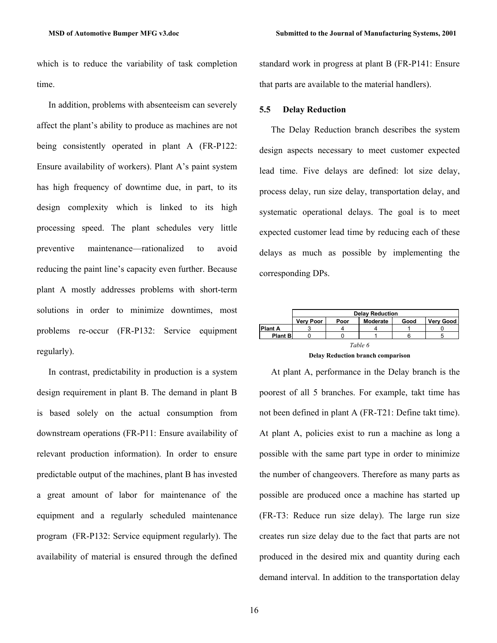which is to reduce the variability of task completion time.

In addition, problems with absenteeism can severely affect the plant's ability to produce as machines are not being consistently operated in plant A (FR-P122: Ensure availability of workers). Plant A's paint system has high frequency of downtime due, in part, to its design complexity which is linked to its high processing speed. The plant schedules very little preventive maintenance—rationalized to avoid reducing the paint line's capacity even further. Because plant A mostly addresses problems with short-term solutions in order to minimize downtimes, most problems re-occur (FR-P132: Service equipment regularly).

In contrast, predictability in production is a system design requirement in plant B. The demand in plant B is based solely on the actual consumption from downstream operations (FR-P11: Ensure availability of relevant production information). In order to ensure predictable output of the machines, plant B has invested a great amount of labor for maintenance of the equipment and a regularly scheduled maintenance program (FR-P132: Service equipment regularly). The availability of material is ensured through the defined

standard work in progress at plant B (FR-P141: Ensure that parts are available to the material handlers).

#### **5.5 Delay Reduction**

The Delay Reduction branch describes the system design aspects necessary to meet customer expected lead time. Five delays are defined: lot size delay, process delay, run size delay, transportation delay, and systematic operational delays. The goal is to meet expected customer lead time by reducing each of these delays as much as possible by implementing the corresponding DPs.



**Delay Reduction branch comparison** 

At plant A, performance in the Delay branch is the poorest of all 5 branches. For example, takt time has not been defined in plant A (FR-T21: Define takt time). At plant A, policies exist to run a machine as long a possible with the same part type in order to minimize the number of changeovers. Therefore as many parts as possible are produced once a machine has started up (FR-T3: Reduce run size delay). The large run size creates run size delay due to the fact that parts are not produced in the desired mix and quantity during each demand interval. In addition to the transportation delay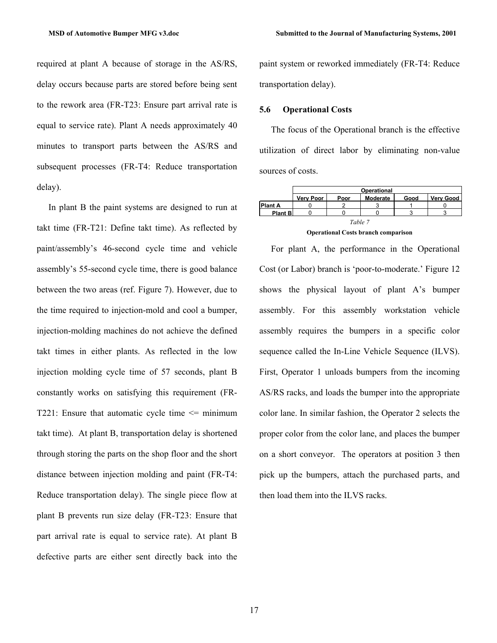required at plant A because of storage in the AS/RS, delay occurs because parts are stored before being sent to the rework area (FR-T23: Ensure part arrival rate is equal to service rate). Plant A needs approximately 40 minutes to transport parts between the AS/RS and subsequent processes (FR-T4: Reduce transportation delay).

In plant B the paint systems are designed to run at takt time (FR-T21: Define takt time). As reflected by paint/assembly's 46-second cycle time and vehicle assembly's 55-second cycle time, there is good balance between the two areas (ref. Figure 7). However, due to the time required to injection-mold and cool a bumper, injection-molding machines do not achieve the defined takt times in either plants. As reflected in the low injection molding cycle time of 57 seconds, plant B constantly works on satisfying this requirement (FR-T221: Ensure that automatic cycle time  $\leq$  minimum takt time). At plant B, transportation delay is shortened through storing the parts on the shop floor and the short distance between injection molding and paint (FR-T4: Reduce transportation delay). The single piece flow at plant B prevents run size delay (FR-T23: Ensure that part arrival rate is equal to service rate). At plant B defective parts are either sent directly back into the paint system or reworked immediately (FR-T4: Reduce transportation delay).

#### **5.6 Operational Costs**

The focus of the Operational branch is the effective utilization of direct labor by eliminating non-value sources of costs.

|                                            | Operational |      |          |      |                  |  |
|--------------------------------------------|-------------|------|----------|------|------------------|--|
|                                            | Very Poor   | Poor | Moderate | Good | <b>Very Good</b> |  |
| <b>Plant A</b>                             |             |      |          |      |                  |  |
| <b>Plant B</b>                             |             |      |          |      |                  |  |
| Table 7                                    |             |      |          |      |                  |  |
| <b>Operational Costs branch comparison</b> |             |      |          |      |                  |  |

For plant A, the performance in the Operational Cost (or Labor) branch is 'poor-to-moderate.' Figure 12 shows the physical layout of plant A's bumper assembly. For this assembly workstation vehicle assembly requires the bumpers in a specific color sequence called the In-Line Vehicle Sequence (ILVS). First, Operator 1 unloads bumpers from the incoming AS/RS racks, and loads the bumper into the appropriate color lane. In similar fashion, the Operator 2 selects the proper color from the color lane, and places the bumper on a short conveyor. The operators at position 3 then pick up the bumpers, attach the purchased parts, and then load them into the ILVS racks.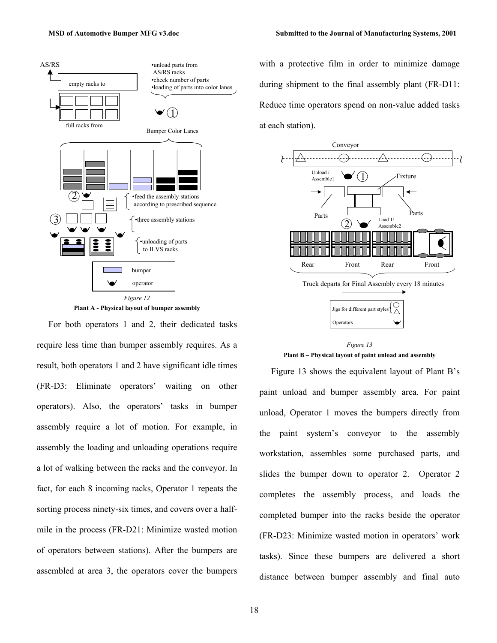

**Plant A - Physical layout of bumper assembly**

For both operators 1 and 2, their dedicated tasks require less time than bumper assembly requires. As a result, both operators 1 and 2 have significant idle times (FR-D3: Eliminate operators' waiting on other operators). Also, the operators' tasks in bumper assembly require a lot of motion. For example, in assembly the loading and unloading operations require a lot of walking between the racks and the conveyor. In fact, for each 8 incoming racks, Operator 1 repeats the sorting process ninety-six times, and covers over a halfmile in the process (FR-D21: Minimize wasted motion of operators between stations). After the bumpers are assembled at area 3, the operators cover the bumpers

with a protective film in order to minimize damage during shipment to the final assembly plant (FR-D11: Reduce time operators spend on non-value added tasks at each station).



*Figure 13*  **Plant B – Physical layout of paint unload and assembly** 

Figure 13 shows the equivalent layout of Plant B's paint unload and bumper assembly area. For paint unload, Operator 1 moves the bumpers directly from the paint system's conveyor to the assembly workstation, assembles some purchased parts, and slides the bumper down to operator 2. Operator 2 completes the assembly process, and loads the completed bumper into the racks beside the operator (FR-D23: Minimize wasted motion in operators' work tasks). Since these bumpers are delivered a short distance between bumper assembly and final auto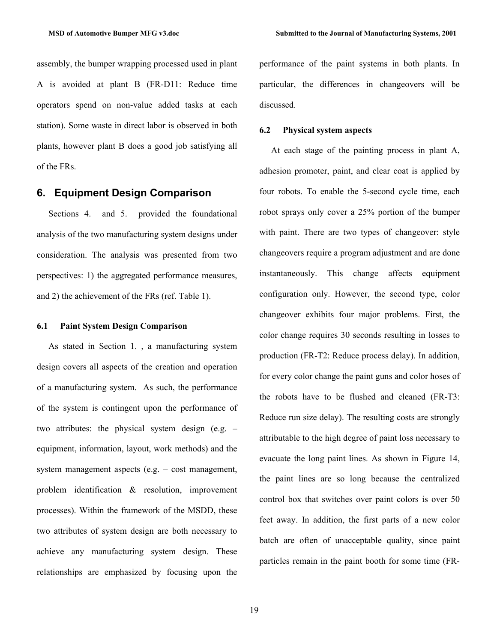assembly, the bumper wrapping processed used in plant A is avoided at plant B (FR-D11: Reduce time operators spend on non-value added tasks at each station). Some waste in direct labor is observed in both plants, however plant B does a good job satisfying all of the FRs.

### **6. Equipment Design Comparison**

Sections 4. and 5. provided the foundational analysis of the two manufacturing system designs under consideration. The analysis was presented from two perspectives: 1) the aggregated performance measures, and 2) the achievement of the FRs (ref. Table 1).

#### **6.1 Paint System Design Comparison**

As stated in Section 1. , a manufacturing system design covers all aspects of the creation and operation of a manufacturing system. As such, the performance of the system is contingent upon the performance of two attributes: the physical system design (e.g. – equipment, information, layout, work methods) and the system management aspects (e.g. – cost management, problem identification & resolution, improvement processes). Within the framework of the MSDD, these two attributes of system design are both necessary to achieve any manufacturing system design. These relationships are emphasized by focusing upon the

performance of the paint systems in both plants. In particular, the differences in changeovers will be discussed.

#### **6.2 Physical system aspects**

At each stage of the painting process in plant A, adhesion promoter, paint, and clear coat is applied by four robots. To enable the 5-second cycle time, each robot sprays only cover a 25% portion of the bumper with paint. There are two types of changeover: style changeovers require a program adjustment and are done instantaneously. This change affects equipment configuration only. However, the second type, color changeover exhibits four major problems. First, the color change requires 30 seconds resulting in losses to production (FR-T2: Reduce process delay). In addition, for every color change the paint guns and color hoses of the robots have to be flushed and cleaned (FR-T3: Reduce run size delay). The resulting costs are strongly attributable to the high degree of paint loss necessary to evacuate the long paint lines. As shown in Figure 14, the paint lines are so long because the centralized control box that switches over paint colors is over 50 feet away. In addition, the first parts of a new color batch are often of unacceptable quality, since paint particles remain in the paint booth for some time (FR-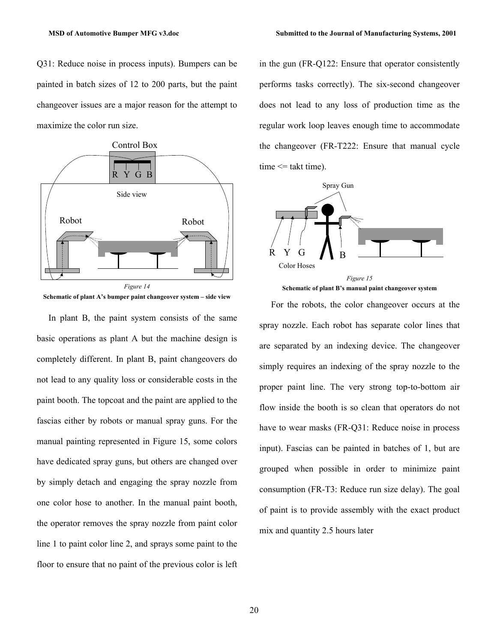Q31: Reduce noise in process inputs). Bumpers can be painted in batch sizes of 12 to 200 parts, but the paint changeover issues are a major reason for the attempt to maximize the color run size.



**Schematic of plant A's bumper paint changeover system – side view** 

In plant B, the paint system consists of the same basic operations as plant A but the machine design is completely different. In plant B, paint changeovers do not lead to any quality loss or considerable costs in the paint booth. The topcoat and the paint are applied to the fascias either by robots or manual spray guns. For the manual painting represented in Figure 15, some colors have dedicated spray guns, but others are changed over by simply detach and engaging the spray nozzle from one color hose to another. In the manual paint booth, the operator removes the spray nozzle from paint color line 1 to paint color line 2, and sprays some paint to the floor to ensure that no paint of the previous color is left in the gun (FR-Q122: Ensure that operator consistently performs tasks correctly). The six-second changeover does not lead to any loss of production time as the regular work loop leaves enough time to accommodate the changeover (FR-T222: Ensure that manual cycle  $time \leq$  takt time).





For the robots, the color changeover occurs at the spray nozzle. Each robot has separate color lines that are separated by an indexing device. The changeover simply requires an indexing of the spray nozzle to the proper paint line. The very strong top-to-bottom air flow inside the booth is so clean that operators do not have to wear masks (FR-Q31: Reduce noise in process input). Fascias can be painted in batches of 1, but are grouped when possible in order to minimize paint consumption (FR-T3: Reduce run size delay). The goal of paint is to provide assembly with the exact product mix and quantity 2.5 hours later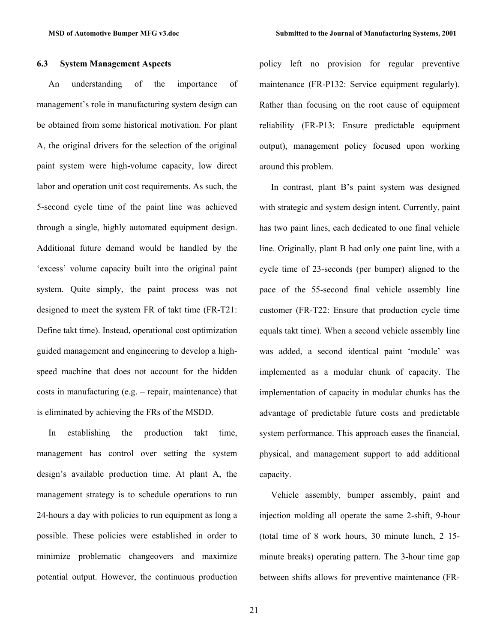#### **6.3 System Management Aspects**

An understanding of the importance of management's role in manufacturing system design can be obtained from some historical motivation. For plant A, the original drivers for the selection of the original paint system were high-volume capacity, low direct labor and operation unit cost requirements. As such, the 5-second cycle time of the paint line was achieved through a single, highly automated equipment design. Additional future demand would be handled by the 'excess' volume capacity built into the original paint system. Quite simply, the paint process was not designed to meet the system FR of takt time (FR-T21: Define takt time). Instead, operational cost optimization guided management and engineering to develop a highspeed machine that does not account for the hidden costs in manufacturing (e.g. – repair, maintenance) that is eliminated by achieving the FRs of the MSDD.

In establishing the production takt time, management has control over setting the system design's available production time. At plant A, the management strategy is to schedule operations to run 24-hours a day with policies to run equipment as long a possible. These policies were established in order to minimize problematic changeovers and maximize potential output. However, the continuous production policy left no provision for regular preventive maintenance (FR-P132: Service equipment regularly). Rather than focusing on the root cause of equipment reliability (FR-P13: Ensure predictable equipment output), management policy focused upon working around this problem.

In contrast, plant B's paint system was designed with strategic and system design intent. Currently, paint has two paint lines, each dedicated to one final vehicle line. Originally, plant B had only one paint line, with a cycle time of 23-seconds (per bumper) aligned to the pace of the 55-second final vehicle assembly line customer (FR-T22: Ensure that production cycle time equals takt time). When a second vehicle assembly line was added, a second identical paint 'module' was implemented as a modular chunk of capacity. The implementation of capacity in modular chunks has the advantage of predictable future costs and predictable system performance. This approach eases the financial, physical, and management support to add additional capacity.

Vehicle assembly, bumper assembly, paint and injection molding all operate the same 2-shift, 9-hour (total time of 8 work hours, 30 minute lunch, 2 15 minute breaks) operating pattern. The 3-hour time gap between shifts allows for preventive maintenance (FR-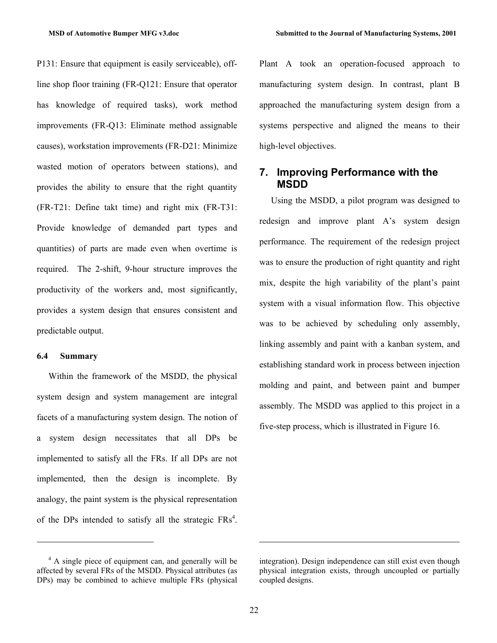P131: Ensure that equipment is easily serviceable), offline shop floor training (FR-Q121: Ensure that operator has knowledge of required tasks), work method improvements (FR-Q13: Eliminate method assignable causes), workstation improvements (FR-D21: Minimize wasted motion of operators between stations), and provides the ability to ensure that the right quantity (FR-T21: Define takt time) and right mix (FR-T31: Provide knowledge of demanded part types and quantities) of parts are made even when overtime is required. The 2-shift, 9-hour structure improves the productivity of the workers and, most significantly, provides a system design that ensures consistent and predictable output.

#### **6.4 Summary**

-

Within the framework of the MSDD, the physical system design and system management are integral facets of a manufacturing system design. The notion of a system design necessitates that all DPs be implemented to satisfy all the FRs. If all DPs are not implemented, then the design is incomplete. By analogy, the paint system is the physical representation of the DPs intended to satisfy all the strategic  $FRs<sup>4</sup>$ . Plant A took an operation-focused approach to manufacturing system design. In contrast, plant B approached the manufacturing system design from a systems perspective and aligned the means to their high-level objectives.

## **7. Improving Performance with the MSDD**

Using the MSDD, a pilot program was designed to redesign and improve plant A's system design performance. The requirement of the redesign project was to ensure the production of right quantity and right mix, despite the high variability of the plant's paint system with a visual information flow. This objective was to be achieved by scheduling only assembly, linking assembly and paint with a kanban system, and establishing standard work in process between injection molding and paint, and between paint and bumper assembly. The MSDD was applied to this project in a five-step process, which is illustrated in Figure 16.

 $\overline{a}$ 

<sup>&</sup>lt;sup>4</sup> A single piece of equipment can, and generally will be affected by several FRs of the MSDD. Physical attributes (as DPs) may be combined to achieve multiple FRs (physical

integration). Design independence can still exist even though physical integration exists, through uncoupled or partially coupled designs.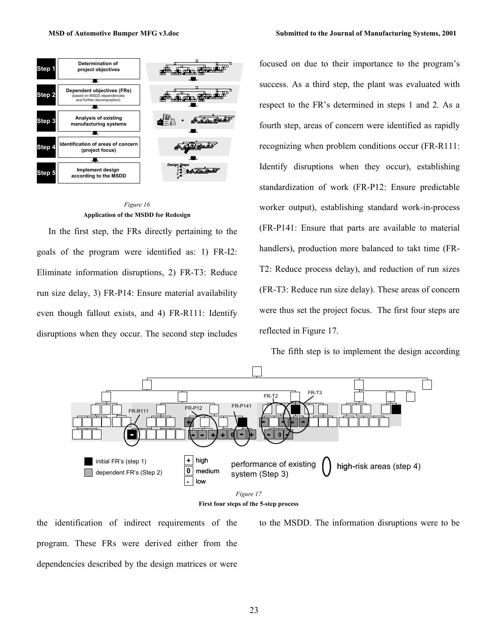**according to the MSDD** 



#### *Figure 16* **Application of the MSDD for Redesign**

*4*

*3*

In the first step, the FRs directly pertaining to the goals of the program were identified as: 1) FR-I2: Eliminate information disruptions, 2) FR-T3: Reduce run size delay, 3) FR-P14: Ensure material availability even though fallout exists, and 4) FR-R111: Identify disruptions when they occur. The second step includes

focused on due to their importance to the program's success. As a third step, the plant was evaluated with respect to the FR's determined in steps 1 and 2. As a fourth step, areas of concern were identified as rapidly recognizing when problem conditions occur (FR-R111: Identify disruptions when they occur), establishing standardization of work (FR-P12: Ensure predictable worker output), establishing standard work-in-process (FR-P141: Ensure that parts are available to material handlers), production more balanced to takt time (FR-T2: Reduce process delay), and reduction of run sizes (FR-T3: Reduce run size delay). These areas of concern were thus set the project focus. The first four steps are reflected in Figure 17.

The fifth step is to implement the design according



the identification of indirect requirements of the program. These FRs were derived either from the dependencies described by the design matrices or were to the MSDD. The information disruptions were to be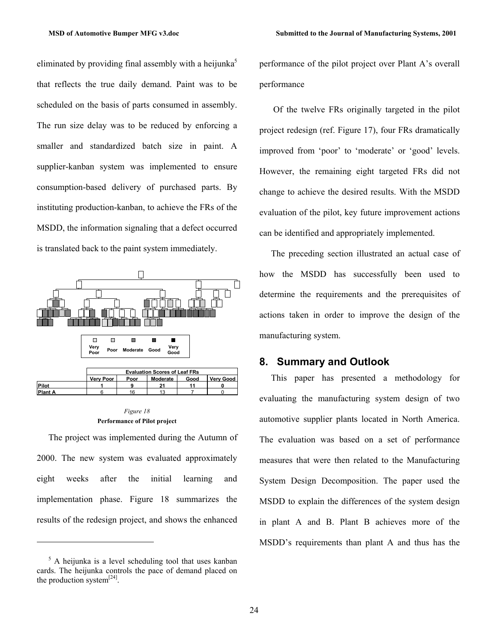eliminated by providing final assembly with a heijunka<sup>5</sup> that reflects the true daily demand. Paint was to be scheduled on the basis of parts consumed in assembly. The run size delay was to be reduced by enforcing a smaller and standardized batch size in paint. A supplier-kanban system was implemented to ensure consumption-based delivery of purchased parts. By instituting production-kanban, to achieve the FRs of the MSDD, the information signaling that a defect occurred is translated back to the paint system immediately.





The project was implemented during the Autumn of 2000. The new system was evaluated approximately eight weeks after the initial learning and implementation phase. Figure 18 summarizes the results of the redesign project, and shows the enhanced

-

performance of the pilot project over Plant A's overall performance

 Of the twelve FRs originally targeted in the pilot project redesign (ref. Figure 17), four FRs dramatically improved from 'poor' to 'moderate' or 'good' levels. However, the remaining eight targeted FRs did not change to achieve the desired results. With the MSDD evaluation of the pilot, key future improvement actions can be identified and appropriately implemented.

The preceding section illustrated an actual case of how the MSDD has successfully been used to determine the requirements and the prerequisites of actions taken in order to improve the design of the manufacturing system.

## **8. Summary and Outlook**

This paper has presented a methodology for evaluating the manufacturing system design of two automotive supplier plants located in North America. The evaluation was based on a set of performance measures that were then related to the Manufacturing System Design Decomposition. The paper used the MSDD to explain the differences of the system design in plant A and B. Plant B achieves more of the MSDD's requirements than plant A and thus has the

<sup>&</sup>lt;sup>5</sup> A heijunka is a level scheduling tool that uses kanban cards. The heijunka controls the pace of demand placed on the production system $^{[24]}$ .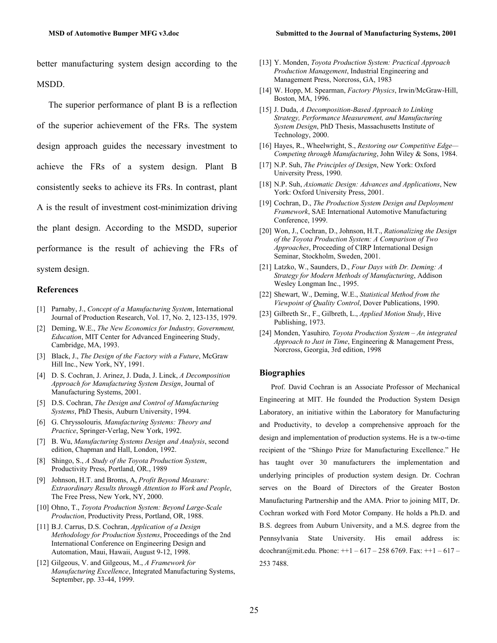better manufacturing system design according to the MSDD.

The superior performance of plant B is a reflection of the superior achievement of the FRs. The system design approach guides the necessary investment to achieve the FRs of a system design. Plant B consistently seeks to achieve its FRs. In contrast, plant A is the result of investment cost-minimization driving the plant design. According to the MSDD, superior performance is the result of achieving the FRs of system design.

#### **References**

- [1] Parnaby, J., *Concept of a Manufacturing System*, International Journal of Production Research, Vol. 17, No. 2, 123-135, 1979.
- [2] Deming, W.E., *The New Economics for Industry, Government, Education*, MIT Center for Advanced Engineering Study, Cambridge, MA, 1993.
- [3] Black, J., *The Design of the Factory with a Future*, McGraw Hill Inc., New York, NY, 1991.
- [4] D. S. Cochran, J. Arinez, J. Duda, J. Linck, *A Decomposition Approach for Manufacturing System Design*, Journal of Manufacturing Systems, 2001.
- [5] D.S. Cochran, *The Design and Control of Manufacturing Systems*, PhD Thesis, Auburn University, 1994.
- [6] G. Chryssolouris*, Manufacturing Systems: Theory and Practice*, Springer-Verlag, New York, 1992.
- [7] B. Wu, *Manufacturing Systems Design and Analysis*, second edition, Chapman and Hall, London, 1992.
- [8] Shingo, S., *A Study of the Toyota Production System*, Productivity Press, Portland, OR., 1989
- [9] Johnson, H.T. and Broms, A, *Profit Beyond Measure: Extraordinary Results through Attention to Work and People*, The Free Press, New York, NY, 2000.
- [10] Ohno, T., *Toyota Production System: Beyond Large-Scale Production*, Productivity Press, Portland, OR, 1988.
- [11] B.J. Carrus, D.S. Cochran, *Application of a Design Methodology for Production Systems*, Proceedings of the 2nd International Conference on Engineering Design and Automation, Maui, Hawaii, August 9-12, 1998.
- [12] Gilgeous, V. and Gilgeous, M., *A Framework for Manufacturing Excellence*, Integrated Manufacturing Systems, September, pp. 33-44, 1999.
- [13] Y. Monden, *Toyota Production System: Practical Approach Production Management*, Industrial Engineering and Management Press, Norcross, GA, 1983
- [14] W. Hopp, M. Spearman, *Factory Physics*, Irwin/McGraw-Hill, Boston, MA, 1996.
- [15] J. Duda, *A Decomposition-Based Approach to Linking Strategy, Performance Measurement, and Manufacturing System Design*, PhD Thesis, Massachusetts Institute of Technology, 2000.
- [16] Hayes, R., Wheelwright, S., *Restoring our Competitive Edge— Competing through Manufacturing*, John Wiley & Sons, 1984.
- [17] N.P. Suh, *The Principles of Design*, New York: Oxford University Press, 1990.
- [18] N.P. Suh, *Axiomatic Design: Advances and Applications*, New York: Oxford University Press, 2001.
- [19] Cochran, D., *The Production System Design and Deployment Framework*, SAE International Automotive Manufacturing Conference, 1999.
- [20] Won, J., Cochran, D., Johnson, H.T., *Rationalizing the Design of the Toyota Production System: A Comparison of Two Approaches*, Proceeding of CIRP International Design Seminar, Stockholm, Sweden, 2001.
- [21] Latzko, W., Saunders, D., *Four Days with Dr. Deming: A Strategy for Modern Methods of Manufacturing*, Addison Wesley Longman Inc., 1995.
- [22] Shewart, W., Deming, W.E., *Statistical Method from the Viewpoint of Quality Control*, Dover Publications, 1990.
- [23] Gilbreth Sr., F., Gilbreth, L., *Applied Motion Study*, Hive Publishing, 1973.
- [24] Monden, Yasuhiro*, Toyota Production System An integrated Approach to Just in Time*, Engineering & Management Press, Norcross, Georgia, 3rd edition, 1998

#### **Biographies**

Prof. David Cochran is an Associate Professor of Mechanical Engineering at MIT. He founded the Production System Design Laboratory, an initiative within the Laboratory for Manufacturing and Productivity, to develop a comprehensive approach for the design and implementation of production systems. He is a tw-o-time recipient of the "Shingo Prize for Manufacturing Excellence." He has taught over 30 manufacturers the implementation and underlying principles of production system design. Dr. Cochran serves on the Board of Directors of the Greater Boston Manufacturing Partnership and the AMA. Prior to joining MIT, Dr. Cochran worked with Ford Motor Company. He holds a Ph.D. and B.S. degrees from Auburn University, and a M.S. degree from the Pennsylvania State University. His email address is: dcochran@mit.edu. Phone:  $++1 - 617 - 2586769$ . Fax:  $++1 - 617 -$ 253 7488.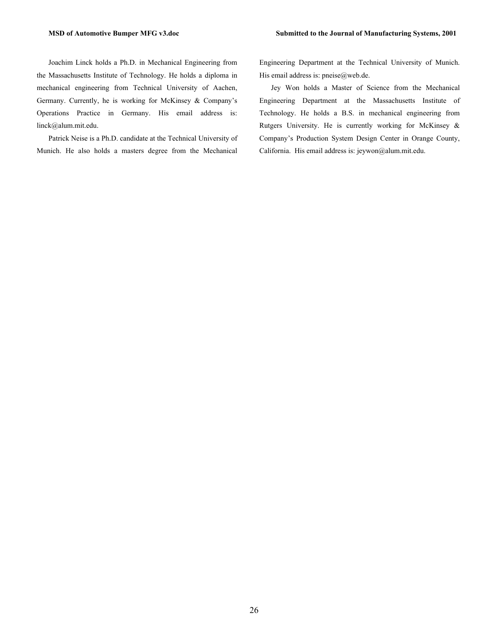Joachim Linck holds a Ph.D. in Mechanical Engineering from the Massachusetts Institute of Technology. He holds a diploma in mechanical engineering from Technical University of Aachen, Germany. Currently, he is working for McKinsey & Company's Operations Practice in Germany. His email address is: linck@alum.mit.edu.

Patrick Neise is a Ph.D. candidate at the Technical University of Munich. He also holds a masters degree from the Mechanical Engineering Department at the Technical University of Munich. His email address is: pneise@web.de.

Jey Won holds a Master of Science from the Mechanical Engineering Department at the Massachusetts Institute of Technology. He holds a B.S. in mechanical engineering from Rutgers University. He is currently working for McKinsey & Company's Production System Design Center in Orange County, California. His email address is: jeywon@alum.mit.edu.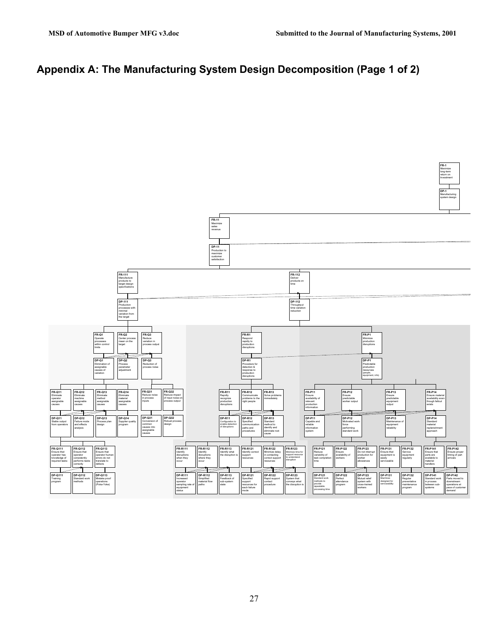**FR-1** Maximize long-term return on Investment

# **Appendix A: The Manufacturing System Design Decomposition (Page 1 of 2)**

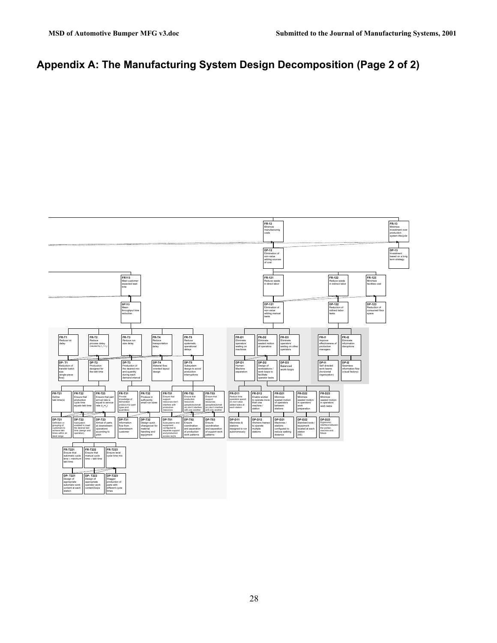parts with different cycle times

operator work content/loops

automatic work content at each station

# **Appendix A: The Manufacturing System Design Decomposition (Page 2 of 2)**

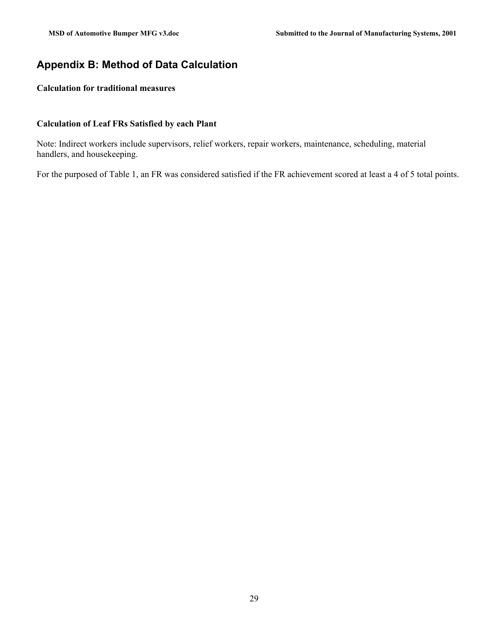## **Appendix B: Method of Data Calculation**

## **Calculation for traditional measures**

#### **Calculation of Leaf FRs Satisfied by each Plant**

Note: Indirect workers include supervisors, relief workers, repair workers, maintenance, scheduling, material handlers, and housekeeping.

For the purposed of Table 1, an FR was considered satisfied if the FR achievement scored at least a 4 of 5 total points.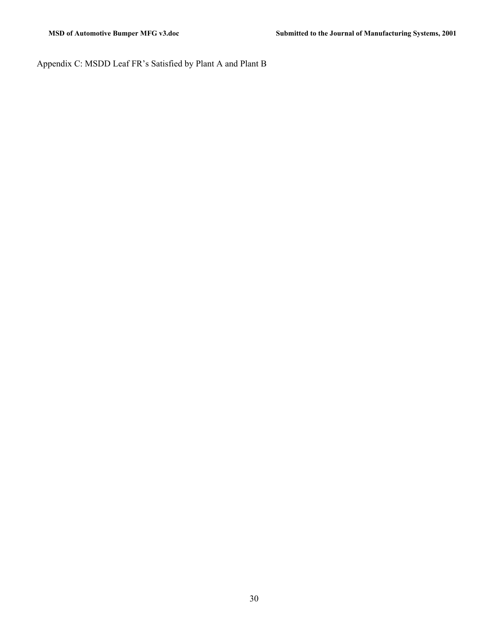Appendix C: MSDD Leaf FR's Satisfied by Plant A and Plant B